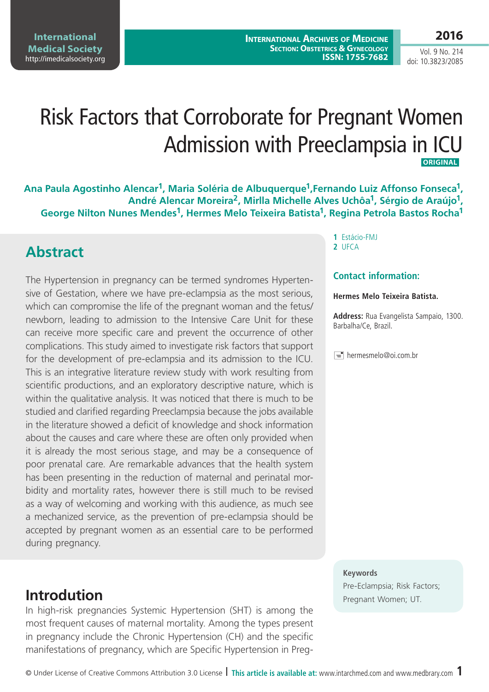**International Medical Society**  http://imedicalsociety.org

Vol. 9 No. 214 doi: 10.3823/2085

# Risk Factors that Corroborate for Pregnant Women Admission with Preeclampsia in ICU  **ORIGINAL**

Ana Paula Agostinho Alencar<sup>1</sup>, Maria Soléria de Albuquerque<sup>1</sup>, Fernando Luiz Affonso Fonseca<sup>1</sup>, **André Alencar Moreira2, Mirlla Michelle Alves Uchôa1, Sérgio de Araújo1, George Nilton Nunes Mendes1, Hermes Melo Teixeira Batista1, Regina Petrola Bastos Rocha1**

## **Abstract**

The Hypertension in pregnancy can be termed syndromes Hypertensive of Gestation, where we have pre-eclampsia as the most serious, which can compromise the life of the pregnant woman and the fetus/ newborn, leading to admission to the Intensive Care Unit for these can receive more specific care and prevent the occurrence of other complications. This study aimed to investigate risk factors that support for the development of pre-eclampsia and its admission to the ICU. This is an integrative literature review study with work resulting from scientific productions, and an exploratory descriptive nature, which is within the qualitative analysis. It was noticed that there is much to be studied and clarified regarding Preeclampsia because the jobs available in the literature showed a deficit of knowledge and shock information about the causes and care where these are often only provided when it is already the most serious stage, and may be a consequence of poor prenatal care. Are remarkable advances that the health system has been presenting in the reduction of maternal and perinatal morbidity and mortality rates, however there is still much to be revised as a way of welcoming and working with this audience, as much see a mechanized service, as the prevention of pre-eclampsia should be accepted by pregnant women as an essential care to be performed during pregnancy.

In high-risk pregnancies Systemic Hypertension (SHT) is among the most frequent causes of maternal mortality. Among the types present in pregnancy include the Chronic Hypertension (CH) and the specific manifestations of pregnancy, which are Specific Hypertension in Preg**1** Estácio-FMJ **2** UFCA

### **Contact information:**

#### **Hermes Melo Teixeira Batista.**

**Address:** Rua Evangelista Sampaio, 1300. Barbalha/Ce, Brazil.

 $\equiv$  hermesmelo@oi.com.br

#### **Keywords**

Pre-Eclampsia; Risk Factors; **Introdution** Pregnant Women; UT.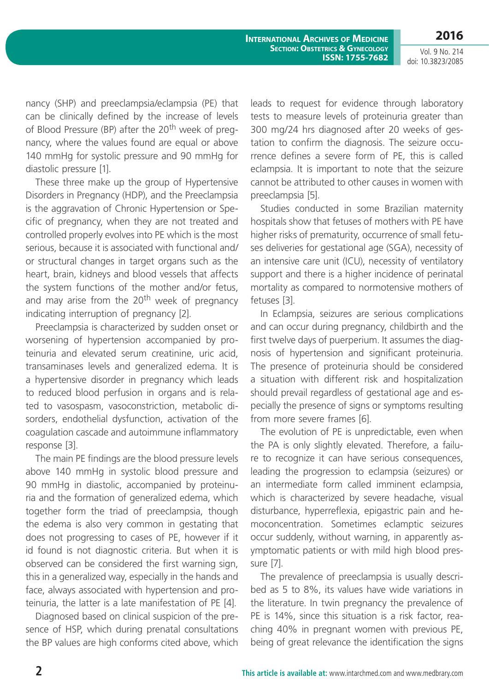**2016**

Vol. 9 No. 214 doi: 10.3823/2085

nancy (SHP) and preeclampsia/eclampsia (PE) that can be clinically defined by the increase of levels of Blood Pressure (BP) after the 20<sup>th</sup> week of pregnancy, where the values found are equal or above 140 mmHg for systolic pressure and 90 mmHg for diastolic pressure [1].

These three make up the group of Hypertensive Disorders in Pregnancy (HDP), and the Preeclampsia is the aggravation of Chronic Hypertension or Specific of pregnancy, when they are not treated and controlled properly evolves into PE which is the most serious, because it is associated with functional and/ or structural changes in target organs such as the heart, brain, kidneys and blood vessels that affects the system functions of the mother and/or fetus, and may arise from the  $20<sup>th</sup>$  week of pregnancy indicating interruption of pregnancy [2].

Preeclampsia is characterized by sudden onset or worsening of hypertension accompanied by proteinuria and elevated serum creatinine, uric acid, transaminases levels and generalized edema. It is a hypertensive disorder in pregnancy which leads to reduced blood perfusion in organs and is related to vasospasm, vasoconstriction, metabolic disorders, endothelial dysfunction, activation of the coagulation cascade and autoimmune inflammatory response [3].

The main PE findings are the blood pressure levels above 140 mmHg in systolic blood pressure and 90 mmHg in diastolic, accompanied by proteinuria and the formation of generalized edema, which together form the triad of preeclampsia, though the edema is also very common in gestating that does not progressing to cases of PE, however if it id found is not diagnostic criteria. But when it is observed can be considered the first warning sign, this in a generalized way, especially in the hands and face, always associated with hypertension and proteinuria, the latter is a late manifestation of PE [4].

Diagnosed based on clinical suspicion of the presence of HSP, which during prenatal consultations the BP values are high conforms cited above, which leads to request for evidence through laboratory tests to measure levels of proteinuria greater than 300 mg/24 hrs diagnosed after 20 weeks of gestation to confirm the diagnosis. The seizure occurrence defines a severe form of PE, this is called eclampsia. It is important to note that the seizure cannot be attributed to other causes in women with preeclampsia [5].

Studies conducted in some Brazilian maternity hospitals show that fetuses of mothers with PE have higher risks of prematurity, occurrence of small fetuses deliveries for gestational age (SGA), necessity of an intensive care unit (ICU), necessity of ventilatory support and there is a higher incidence of perinatal mortality as compared to normotensive mothers of fetuses [3].

In Eclampsia, seizures are serious complications and can occur during pregnancy, childbirth and the first twelve days of puerperium. It assumes the diagnosis of hypertension and significant proteinuria. The presence of proteinuria should be considered a situation with different risk and hospitalization should prevail regardless of gestational age and especially the presence of signs or symptoms resulting from more severe frames [6].

The evolution of PE is unpredictable, even when the PA is only slightly elevated. Therefore, a failure to recognize it can have serious consequences, leading the progression to eclampsia (seizures) or an intermediate form called imminent eclampsia, which is characterized by severe headache, visual disturbance, hyperreflexia, epigastric pain and hemoconcentration. Sometimes eclamptic seizures occur suddenly, without warning, in apparently asymptomatic patients or with mild high blood pressure [7].

The prevalence of preeclampsia is usually described as 5 to 8%, its values have wide variations in the literature. In twin pregnancy the prevalence of PE is 14%, since this situation is a risk factor, reaching 40% in pregnant women with previous PE, being of great relevance the identification the signs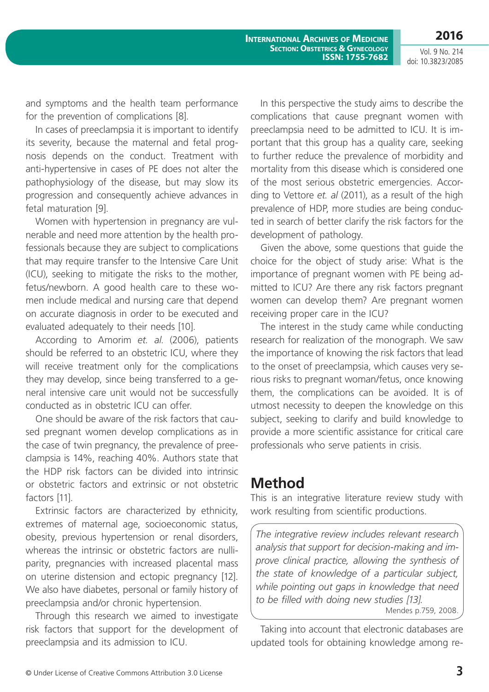**2016**

Vol. 9 No. 214 doi: 10.3823/2085

and symptoms and the health team performance for the prevention of complications [8].

In cases of preeclampsia it is important to identify its severity, because the maternal and fetal prognosis depends on the conduct. Treatment with anti-hypertensive in cases of PE does not alter the pathophysiology of the disease, but may slow its progression and consequently achieve advances in fetal maturation [9].

Women with hypertension in pregnancy are vulnerable and need more attention by the health professionals because they are subject to complications that may require transfer to the Intensive Care Unit (ICU), seeking to mitigate the risks to the mother, fetus/newborn. A good health care to these women include medical and nursing care that depend on accurate diagnosis in order to be executed and evaluated adequately to their needs [10].

According to Amorim *et. al*. (2006), patients should be referred to an obstetric ICU, where they will receive treatment only for the complications they may develop, since being transferred to a general intensive care unit would not be successfully conducted as in obstetric ICU can offer.

One should be aware of the risk factors that caused pregnant women develop complications as in the case of twin pregnancy, the prevalence of preeclampsia is 14%, reaching 40%. Authors state that the HDP risk factors can be divided into intrinsic or obstetric factors and extrinsic or not obstetric factors [11].

Extrinsic factors are characterized by ethnicity, extremes of maternal age, socioeconomic status, obesity, previous hypertension or renal disorders, whereas the intrinsic or obstetric factors are nulliparity, pregnancies with increased placental mass on uterine distension and ectopic pregnancy [12]. We also have diabetes, personal or family history of preeclampsia and/or chronic hypertension.

Through this research we aimed to investigate risk factors that support for the development of preeclampsia and its admission to ICU.

In this perspective the study aims to describe the complications that cause pregnant women with preeclampsia need to be admitted to ICU. It is important that this group has a quality care, seeking to further reduce the prevalence of morbidity and mortality from this disease which is considered one of the most serious obstetric emergencies. According to Vettore *et. al* (2011), as a result of the high prevalence of HDP, more studies are being conducted in search of better clarify the risk factors for the development of pathology.

Given the above, some questions that guide the choice for the object of study arise: What is the importance of pregnant women with PE being admitted to ICU? Are there any risk factors pregnant women can develop them? Are pregnant women receiving proper care in the ICU?

The interest in the study came while conducting research for realization of the monograph. We saw the importance of knowing the risk factors that lead to the onset of preeclampsia, which causes very serious risks to pregnant woman/fetus, once knowing them, the complications can be avoided. It is of utmost necessity to deepen the knowledge on this subject, seeking to clarify and build knowledge to provide a more scientific assistance for critical care professionals who serve patients in crisis.

## **Method**

This is an integrative literature review study with work resulting from scientific productions.

*The integrative review includes relevant research analysis that support for decision-making and improve clinical practice, allowing the synthesis of the state of knowledge of a particular subject, while pointing out gaps in knowledge that need to be filled with doing new studies [13].* Mendes p.759, 2008.

Taking into account that electronic databases are updated tools for obtaining knowledge among re-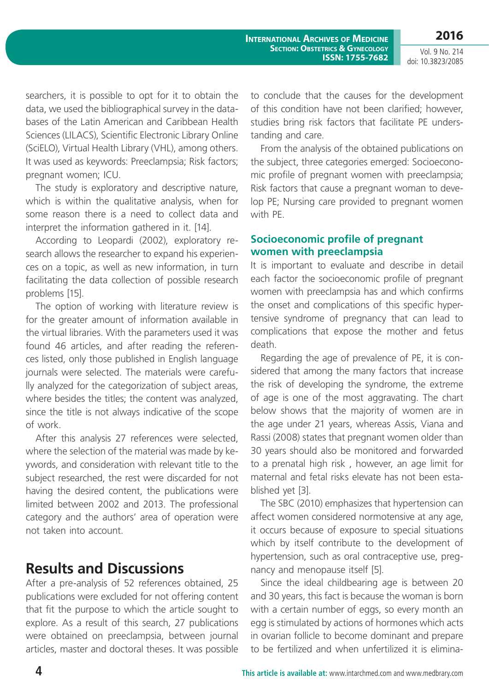Vol. 9 No. 214 doi: 10.3823/2085

searchers, it is possible to opt for it to obtain the data, we used the bibliographical survey in the databases of the Latin American and Caribbean Health Sciences (LILACS), Scientific Electronic Library Online (SciELO), Virtual Health Library (VHL), among others. It was used as keywords: Preeclampsia; Risk factors; pregnant women; ICU.

The study is exploratory and descriptive nature, which is within the qualitative analysis, when for some reason there is a need to collect data and interpret the information gathered in it. [14].

According to Leopardi (2002), exploratory research allows the researcher to expand his experiences on a topic, as well as new information, in turn facilitating the data collection of possible research problems [15].

The option of working with literature review is for the greater amount of information available in the virtual libraries. With the parameters used it was found 46 articles, and after reading the references listed, only those published in English language journals were selected. The materials were carefully analyzed for the categorization of subject areas, where besides the titles; the content was analyzed, since the title is not always indicative of the scope of work.

After this analysis 27 references were selected, where the selection of the material was made by keywords, and consideration with relevant title to the subject researched, the rest were discarded for not having the desired content, the publications were limited between 2002 and 2013. The professional category and the authors' area of operation were not taken into account.

## **Results and Discussions**

After a pre-analysis of 52 references obtained, 25 publications were excluded for not offering content that fit the purpose to which the article sought to explore. As a result of this search, 27 publications were obtained on preeclampsia, between journal articles, master and doctoral theses. It was possible to conclude that the causes for the development of this condition have not been clarified; however, studies bring risk factors that facilitate PE understanding and care.

From the analysis of the obtained publications on the subject, three categories emerged: Socioeconomic profile of pregnant women with preeclampsia; Risk factors that cause a pregnant woman to develop PE; Nursing care provided to pregnant women with PF

## **Socioeconomic profile of pregnant women with preeclampsia**

It is important to evaluate and describe in detail each factor the socioeconomic profile of pregnant women with preeclampsia has and which confirms the onset and complications of this specific hypertensive syndrome of pregnancy that can lead to complications that expose the mother and fetus death.

Regarding the age of prevalence of PE, it is considered that among the many factors that increase the risk of developing the syndrome, the extreme of age is one of the most aggravating. The chart below shows that the majority of women are in the age under 21 years, whereas Assis, Viana and Rassi (2008) states that pregnant women older than 30 years should also be monitored and forwarded to a prenatal high risk , however, an age limit for maternal and fetal risks elevate has not been established yet [3].

The SBC (2010) emphasizes that hypertension can affect women considered normotensive at any age, it occurs because of exposure to special situations which by itself contribute to the development of hypertension, such as oral contraceptive use, pregnancy and menopause itself [5].

Since the ideal childbearing age is between 20 and 30 years, this fact is because the woman is born with a certain number of eggs, so every month an egg is stimulated by actions of hormones which acts in ovarian follicle to become dominant and prepare to be fertilized and when unfertilized it is elimina-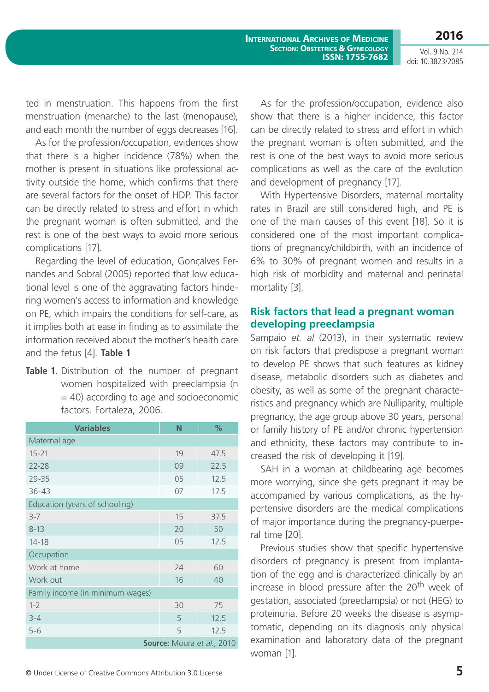Vol. 9 No. 214 doi: 10.3823/2085

ted in menstruation. This happens from the first menstruation (menarche) to the last (menopause), and each month the number of eggs decreases [16].

As for the profession/occupation, evidences show that there is a higher incidence (78%) when the mother is present in situations like professional activity outside the home, which confirms that there are several factors for the onset of HDP. This factor can be directly related to stress and effort in which the pregnant woman is often submitted, and the rest is one of the best ways to avoid more serious complications [17].

Regarding the level of education, Gonçalves Fernandes and Sobral (2005) reported that low educational level is one of the aggravating factors hindering women's access to information and knowledge on PE, which impairs the conditions for self-care, as it implies both at ease in finding as to assimilate the information received about the mother's health care and the fetus [4]. **Table 1**

**Table 1.** Distribution of the number of pregnant women hospitalized with preeclampsia (n  $=$  40) according to age and socioeconomic factors. Fortaleza, 2006.

| <b>Variables</b>                 | N  | %    |  |  |  |  |  |  |  |
|----------------------------------|----|------|--|--|--|--|--|--|--|
| Maternal age                     |    |      |  |  |  |  |  |  |  |
| $15 - 21$                        | 19 | 47.5 |  |  |  |  |  |  |  |
| 22-28                            | 09 | 22.5 |  |  |  |  |  |  |  |
| 29-35                            | 05 | 12.5 |  |  |  |  |  |  |  |
| $36 - 43$                        | 07 | 17.5 |  |  |  |  |  |  |  |
| Education (years of schooling)   |    |      |  |  |  |  |  |  |  |
| $3 - 7$                          | 15 | 37.5 |  |  |  |  |  |  |  |
| $8 - 13$                         | 20 | 50   |  |  |  |  |  |  |  |
| $14 - 18$                        | 05 | 12.5 |  |  |  |  |  |  |  |
| Occupation                       |    |      |  |  |  |  |  |  |  |
| Work at home                     | 24 | 60   |  |  |  |  |  |  |  |
| Work out                         | 16 | 40   |  |  |  |  |  |  |  |
| Family income (in minimum wages) |    |      |  |  |  |  |  |  |  |
| $1 - 2$                          | 30 | 75   |  |  |  |  |  |  |  |
| $3 - 4$                          | 5  | 12.5 |  |  |  |  |  |  |  |
| $5 - 6$                          | 5  | 12.5 |  |  |  |  |  |  |  |
| Source: Moura et al., 2010       |    |      |  |  |  |  |  |  |  |

As for the profession/occupation, evidence also show that there is a higher incidence, this factor can be directly related to stress and effort in which the pregnant woman is often submitted, and the rest is one of the best ways to avoid more serious complications as well as the care of the evolution and development of pregnancy [17].

With Hypertensive Disorders, maternal mortality rates in Brazil are still considered high, and PE is one of the main causes of this event [18]. So it is considered one of the most important complications of pregnancy/childbirth, with an incidence of 6% to 30% of pregnant women and results in a high risk of morbidity and maternal and perinatal mortality [3].

## **Risk factors that lead a pregnant woman developing preeclampsia**

Sampaio *et. al* (2013), in their systematic review on risk factors that predispose a pregnant woman to develop PE shows that such features as kidney disease, metabolic disorders such as diabetes and obesity, as well as some of the pregnant characteristics and pregnancy which are Nulliparity, multiple pregnancy, the age group above 30 years, personal or family history of PE and/or chronic hypertension and ethnicity, these factors may contribute to increased the risk of developing it [19].

SAH in a woman at childbearing age becomes more worrying, since she gets pregnant it may be accompanied by various complications, as the hypertensive disorders are the medical complications of major importance during the pregnancy-puerperal time [20].

Previous studies show that specific hypertensive disorders of pregnancy is present from implantation of the egg and is characterized clinically by an increase in blood pressure after the 20<sup>th</sup> week of gestation, associated (preeclampsia) or not (HEG) to proteinuria. Before 20 weeks the disease is asymptomatic, depending on its diagnosis only physical examination and laboratory data of the pregnant woman [1].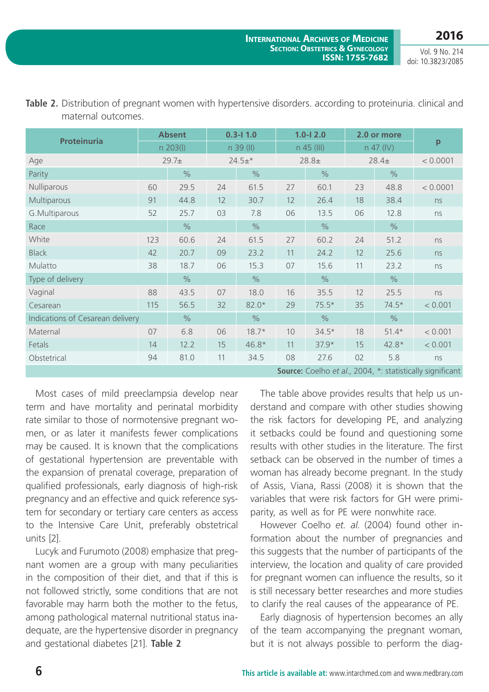Vol. 9 No. 214 doi: 10.3823/2085

| <b>Proteinuria</b>                                            | <b>Absent</b> |               | $0.3 - 11.0$ |               | $1.0 - 12.0$ |               | 2.0 or more |               |          |
|---------------------------------------------------------------|---------------|---------------|--------------|---------------|--------------|---------------|-------------|---------------|----------|
|                                                               |               | $n \ 203(1)$  |              | n 39 (II)     |              | $n$ 45 (III)  |             | n 47 (IV)     | p        |
| Age                                                           |               | $29.7+$       |              | $24.5+*$      |              | $28.8+$       |             | $28.4+$       | < 0.0001 |
| Parity                                                        |               | $\frac{0}{0}$ |              | $\frac{0}{0}$ |              | $\%$          |             | $\frac{0}{0}$ |          |
| Nulliparous                                                   | 60            | 29.5          | 24           | 61.5          | 27           | 60.1          | 23          | 48.8          | < 0.0001 |
| Multiparous                                                   | 91            | 44.8          | 12           | 30.7          | 12           | 26.4          | 18          | 38.4          | ns       |
| G.Multiparous                                                 | 52            | 25.7          | 03           | 7.8           | 06           | 13.5          | 06          | 12.8          | ns       |
| Race                                                          |               | $\frac{0}{0}$ |              | $\frac{0}{0}$ |              | $\frac{0}{0}$ |             | $\frac{0}{0}$ |          |
| White                                                         | 123           | 60.6          | 24           | 61.5          | 27           | 60.2          | 24          | 51.2          | ns       |
| <b>Black</b>                                                  | 42            | 20.7          | 09           | 23.2          | 11           | 24.2          | 12          | 25.6          | ns       |
| Mulatto                                                       | 38            | 18.7          | 06           | 15.3          | 07           | 15.6          | 11          | 23.2          | ns       |
| Type of delivery                                              |               | $\frac{0}{0}$ |              | $\frac{0}{0}$ |              | $\frac{0}{0}$ |             | $\frac{0}{0}$ |          |
| Vaginal                                                       | 88            | 43.5          | 07           | 18.0          | 16           | 35.5          | 12          | 25.5          | ns       |
| Cesarean                                                      | 115           | 56.5          | 32           | $82.0*$       | 29           | $75.5*$       | 35          | $74.5*$       | < 0.001  |
| Indications of Cesarean delivery                              |               | $\%$          |              | $\frac{0}{0}$ |              | $\frac{0}{0}$ |             | $\frac{0}{0}$ |          |
| Maternal                                                      | 07            | 6.8           | 06           | $18.7*$       | 10           | $34.5*$       | 18          | $51.4*$       | < 0.001  |
| Fetals                                                        | 14            | 12.2          | 15           | $46.8*$       | 11           | $37.9*$       | 15          | $42.8*$       | < 0.001  |
| Obstetrical                                                   | 94            | 81.0          | 11           | 34.5          | 08           | 27.6          | 02          | 5.8           | ns       |
| <b>Source:</b> Coelho et al. 2004 * statistically significant |               |               |              |               |              |               |             |               |          |

**Table 2.** Distribution of pregnant women with hypertensive disorders. according to proteinuria. clinical and maternal outcomes.

Most cases of mild preeclampsia develop near term and have mortality and perinatal morbidity rate similar to those of normotensive pregnant women, or as later it manifests fewer complications may be caused. It is known that the complications of gestational hypertension are preventable with the expansion of prenatal coverage, preparation of qualified professionals, early diagnosis of high-risk pregnancy and an effective and quick reference system for secondary or tertiary care centers as access to the Intensive Care Unit, preferably obstetrical units [2].

Lucyk and Furumoto (2008) emphasize that pregnant women are a group with many peculiarities in the composition of their diet, and that if this is not followed strictly, some conditions that are not favorable may harm both the mother to the fetus, among pathological maternal nutritional status inadequate, are the hypertensive disorder in pregnancy and gestational diabetes [21]. **Table 2**

**Source:** Coelho *et al.*, 2004, \*: statistically significant

The table above provides results that help us understand and compare with other studies showing the risk factors for developing PE, and analyzing it setbacks could be found and questioning some results with other studies in the literature. The first setback can be observed in the number of times a woman has already become pregnant. In the study of Assis, Viana, Rassi (2008) it is shown that the variables that were risk factors for GH were primiparity, as well as for PE were nonwhite race.

However Coelho *et. al*. (2004) found other information about the number of pregnancies and this suggests that the number of participants of the interview, the location and quality of care provided for pregnant women can influence the results, so it is still necessary better researches and more studies to clarify the real causes of the appearance of PE.

Early diagnosis of hypertension becomes an ally of the team accompanying the pregnant woman, but it is not always possible to perform the diag-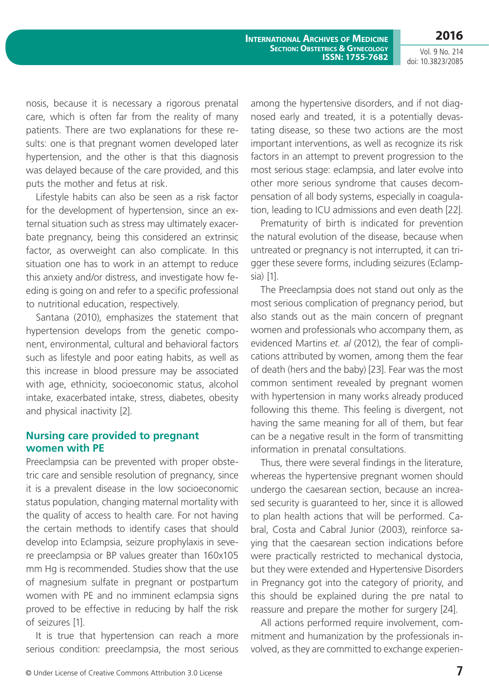**2016** Vol. 9 No. 214

doi: 10.3823/2085

nosis, because it is necessary a rigorous prenatal care, which is often far from the reality of many patients. There are two explanations for these results: one is that pregnant women developed later hypertension, and the other is that this diagnosis was delayed because of the care provided, and this puts the mother and fetus at risk.

Lifestyle habits can also be seen as a risk factor for the development of hypertension, since an external situation such as stress may ultimately exacerbate pregnancy, being this considered an extrinsic factor, as overweight can also complicate. In this situation one has to work in an attempt to reduce this anxiety and/or distress, and investigate how feeding is going on and refer to a specific professional to nutritional education, respectively.

Santana (2010), emphasizes the statement that hypertension develops from the genetic component, environmental, cultural and behavioral factors such as lifestyle and poor eating habits, as well as this increase in blood pressure may be associated with age, ethnicity, socioeconomic status, alcohol intake, exacerbated intake, stress, diabetes, obesity and physical inactivity [2].

#### **Nursing care provided to pregnant women with PE**

Preeclampsia can be prevented with proper obstetric care and sensible resolution of pregnancy, since it is a prevalent disease in the low socioeconomic status population, changing maternal mortality with the quality of access to health care. For not having the certain methods to identify cases that should develop into Eclampsia, seizure prophylaxis in severe preeclampsia or BP values greater than 160x105 mm Hg is recommended. Studies show that the use of magnesium sulfate in pregnant or postpartum women with PE and no imminent eclampsia signs proved to be effective in reducing by half the risk of seizures [1].

It is true that hypertension can reach a more serious condition: preeclampsia, the most serious among the hypertensive disorders, and if not diagnosed early and treated, it is a potentially devastating disease, so these two actions are the most important interventions, as well as recognize its risk factors in an attempt to prevent progression to the most serious stage: eclampsia, and later evolve into other more serious syndrome that causes decompensation of all body systems, especially in coagulation, leading to ICU admissions and even death [22].

Prematurity of birth is indicated for prevention the natural evolution of the disease, because when untreated or pregnancy is not interrupted, it can trigger these severe forms, including seizures (Eclampsia) [1].

The Preeclampsia does not stand out only as the most serious complication of pregnancy period, but also stands out as the main concern of pregnant women and professionals who accompany them, as evidenced Martins *et. al* (2012), the fear of complications attributed by women, among them the fear of death (hers and the baby) [23]. Fear was the most common sentiment revealed by pregnant women with hypertension in many works already produced following this theme. This feeling is divergent, not having the same meaning for all of them, but fear can be a negative result in the form of transmitting information in prenatal consultations.

Thus, there were several findings in the literature, whereas the hypertensive pregnant women should undergo the caesarean section, because an increased security is guaranteed to her, since it is allowed to plan health actions that will be performed. Cabral, Costa and Cabral Junior (2003), reinforce saying that the caesarean section indications before were practically restricted to mechanical dystocia, but they were extended and Hypertensive Disorders in Pregnancy got into the category of priority, and this should be explained during the pre natal to reassure and prepare the mother for surgery [24].

All actions performed require involvement, commitment and humanization by the professionals involved, as they are committed to exchange experien-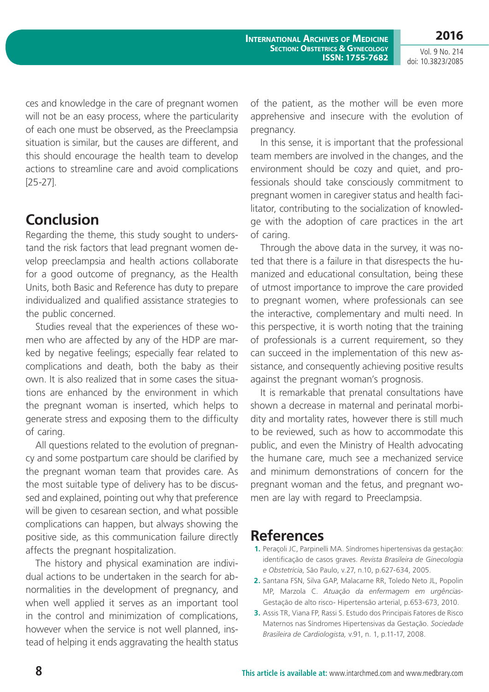**2016**

Vol. 9 No. 214 doi: 10.3823/2085

ces and knowledge in the care of pregnant women will not be an easy process, where the particularity of each one must be observed, as the Preeclampsia situation is similar, but the causes are different, and this should encourage the health team to develop actions to streamline care and avoid complications [25-27].

## **Conclusion**

Regarding the theme, this study sought to understand the risk factors that lead pregnant women develop preeclampsia and health actions collaborate for a good outcome of pregnancy, as the Health Units, both Basic and Reference has duty to prepare individualized and qualified assistance strategies to the public concerned.

Studies reveal that the experiences of these women who are affected by any of the HDP are marked by negative feelings; especially fear related to complications and death, both the baby as their own. It is also realized that in some cases the situations are enhanced by the environment in which the pregnant woman is inserted, which helps to generate stress and exposing them to the difficulty of caring.

All questions related to the evolution of pregnancy and some postpartum care should be clarified by the pregnant woman team that provides care. As the most suitable type of delivery has to be discussed and explained, pointing out why that preference will be given to cesarean section, and what possible complications can happen, but always showing the positive side, as this communication failure directly affects the pregnant hospitalization.

The history and physical examination are individual actions to be undertaken in the search for abnormalities in the development of pregnancy, and when well applied it serves as an important tool in the control and minimization of complications, however when the service is not well planned, instead of helping it ends aggravating the health status of the patient, as the mother will be even more apprehensive and insecure with the evolution of pregnancy.

In this sense, it is important that the professional team members are involved in the changes, and the environment should be cozy and quiet, and professionals should take consciously commitment to pregnant women in caregiver status and health facilitator, contributing to the socialization of knowledge with the adoption of care practices in the art of caring.

Through the above data in the survey, it was noted that there is a failure in that disrespects the humanized and educational consultation, being these of utmost importance to improve the care provided to pregnant women, where professionals can see the interactive, complementary and multi need. In this perspective, it is worth noting that the training of professionals is a current requirement, so they can succeed in the implementation of this new assistance, and consequently achieving positive results against the pregnant woman's prognosis.

It is remarkable that prenatal consultations have shown a decrease in maternal and perinatal morbidity and mortality rates, however there is still much to be reviewed, such as how to accommodate this public, and even the Ministry of Health advocating the humane care, much see a mechanized service and minimum demonstrations of concern for the pregnant woman and the fetus, and pregnant women are lay with regard to Preeclampsia.

## **References**

- **1.** Peraçoli JC, Parpinelli MA. Síndromes hipertensivas da gestação: identificação de casos graves. *Revista Brasileira de Ginecologia e Obstetrícia*, São Paulo, v.27, n.10, p.627-634, 2005.
- **2.** Santana FSN, Silva GAP, Malacarne RR, Toledo Neto JL, Popolin MP, Marzola C. *Atuação da enfermagem em urgências*-Gestação de alto risco- Hipertensão arterial, p.653-673, 2010.
- **3.** Assis TR, Viana FP, Rassi S. Estudo dos Principais Fatores de Risco Maternos nas Síndromes Hipertensivas da Gestação. *Sociedade Brasileira de Cardiologista,* v.91, n. 1, p.11-17, 2008.